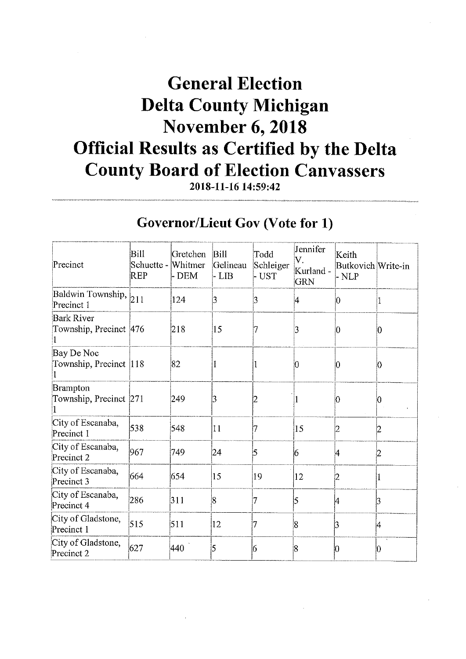## **General Election Delta County Michigan November 6, 2018 Official Results as Certified by the Delta County Board of Election Canvassers**

2018-11-16 14:59:42

#### **Governor/Lieut Gov (Vote for 1)**

| Precinct                                    | <b>Bill</b><br>Schuette -<br>REP | Gretchen<br>Whitmer<br>- DEM | <b>Bill</b><br>Gelineau<br>- LIB | Todd<br>Schleiger<br>- UST | Jennifer<br>V.<br>Kurland -<br><b>GRN</b> | Keith<br>Butkovich Write-in<br>- NLP |    |
|---------------------------------------------|----------------------------------|------------------------------|----------------------------------|----------------------------|-------------------------------------------|--------------------------------------|----|
| Baldwin Township, 211<br>Precinct 1         |                                  | 124                          | 3                                | 3                          | 4                                         | $ 0\rangle$                          |    |
| <b>Bark River</b><br>Township, Precinct 476 |                                  | 218                          | 15                               | 7                          | 3                                         | 10                                   | 10 |
| Bay De Noc<br>Township, Precinct 118        |                                  | 82                           | 1                                |                            | 0                                         | 10                                   | Ю  |
| Brampton<br>Township, Precinct 271          |                                  | 249                          | 3                                |                            |                                           | Ю                                    |    |
| City of Escanaba,<br>Precinct 1             | 538                              | 548                          | 11                               | 7                          | 15                                        | 12                                   |    |
| City of Escanaba,<br>Precinct 2             | 967                              | 749                          | 24                               | 5                          | 6                                         | l4                                   |    |
| City of Escanaba,<br>Precinct 3             | 664                              | 654                          | 15                               | 19                         | 12                                        | 2                                    |    |
| City of Escanaba,<br>Precinct 4             | 286                              | 311                          | 8                                |                            | 5                                         | 4                                    | 3  |
| City of Gladstone,<br>Precinct 1            | 515                              | 511                          | 12                               | 7                          | 8                                         | 3                                    | 4  |
| City of Gladstone,<br>Precinct 2            | 627                              | 440                          | 5                                | 6                          | 18                                        | Ю                                    | Ю  |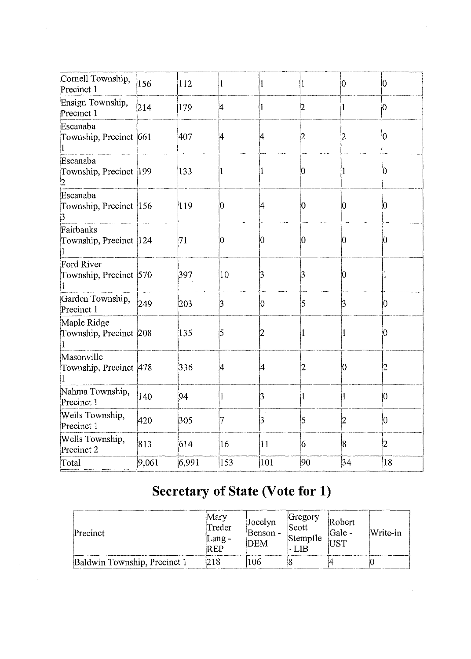| Cornell Township,<br>Precinct 1         | 156   | 112   | 1   |     | l               | 10             | $ 0\rangle$         |
|-----------------------------------------|-------|-------|-----|-----|-----------------|----------------|---------------------|
| Ensign Township,<br>Precinct 1          | 214   | 179   | 4   |     | $\overline{2}$  | 1              | $\bm{\mathfrak{b}}$ |
| Escanaba<br>Township, Precinct 661      |       | 407   | 4   | 4   | 2               | 2              | $ 0\>$              |
| Escanaba<br>Township, Precinct 199<br>2 |       | 133   | 1   | 1   | $\vert 0 \vert$ | 1              | 10                  |
| Escanaba<br>Township, Precinct 156<br>3 |       | 119   | 10  | 4   | $\vert 0 \vert$ | 10             | 10                  |
| Fairbanks<br>Township, Precinct 124     |       | 71    | 10  | 0   | 0               | 10             | Ю                   |
| Ford River<br>Township, Precinct 570    |       | 397   | 10  | 3   | 3               | Ю              |                     |
| Garden Township,<br>Precinct 1          | 249   | 203   | 3   | 10  | 5               | 3              | $ 0\>$              |
| Maple Ridge<br>Township, Precinct 208   |       | 135   | 5   |     |                 | 1              | 0                   |
| Masonville<br>Township, Precinct 478    |       | 336   | 14  | ļ4  | 2               | 10             | 2                   |
| Nahma Township,<br>Precinct 1           | 140   | 94    | 1   | 3   |                 | 1              | Ю                   |
| Wells Township,<br>Precinct 1           | 420   | 305   | 7   | 3   | 5               | $\overline{2}$ | 0                   |
| Wells Township,<br>Precinct 2           | 813   | 614   | 16  | 11  | 6               | 8              | 2                   |
| Total                                   | 9,061 | 6,991 | 153 | 101 | 90              | 34             | 18                  |

#### **Secretary of State (Vote for 1)**

| Precinct                     | Mary<br>Treder<br>$\mu$ ang -<br>IR EP | Jocelyn<br>Benson -<br>DEM | Gregory<br>Scott<br>Stempfle | Robert<br>Gale -<br>TST | Write-in |
|------------------------------|----------------------------------------|----------------------------|------------------------------|-------------------------|----------|
| Baldwin Township, Precinct 1 |                                        | 106                        |                              |                         |          |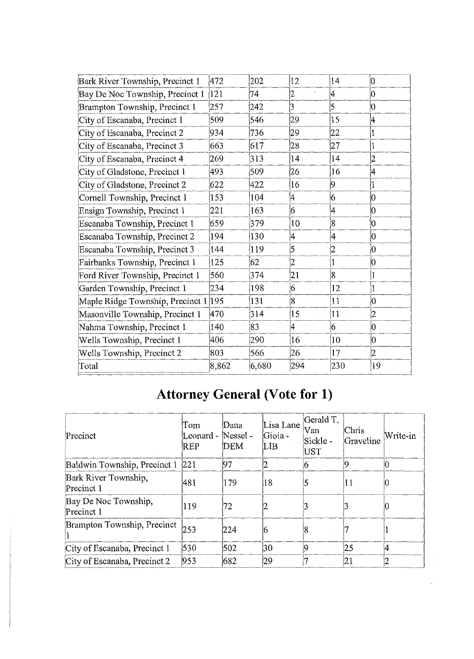| Bark River Township, Precinct 1      | 472   | 202   | 12             | 14             | 10             |
|--------------------------------------|-------|-------|----------------|----------------|----------------|
| Bay De Noc Township, Precinct 1      | 121   | 74    | 2              | 4              | 10             |
| Brampton Township, Precinct 1        | 257   | 242   | b              | 5              | 10             |
| City of Escanaba, Precinct 1         | 509   | 546   | 29             | 15             | 4              |
| City of Escanaba, Precinct 2         | 934   | 736   | 29             | 22             | 1              |
| City of Escanaba, Precinct 3         | 663   | 617   | 28             | 27             | 1              |
| City of Escanaba, Precinct 4         | 269   | 313   | 14             | 14             | $\overline{c}$ |
| City of Gladstone, Precinct 1        | 493   | 509   | 26             | 16             | 4              |
| City of Gladstone, Precinct 2        | 622   | 422   | 16             | $\overline{9}$ | l              |
| Cornell Township, Precinct 1         | 153   | 104   | 4              | 6              | 0              |
| Ensign Township, Precinct 1          | 221   | 163   | 6              | 4              | $\overline{0}$ |
| Escanaba Township, Precinct 1        | 659   | 379   | 10             | 8              | İ0             |
| Escanaba Township, Precinct 2        | 194   | 130   | 4              | 4              | 0              |
| Escanaba Township, Precinct 3        | 144   | 119   | 5              |                | 0              |
| Fairbanks Township, Precinct 1       | 125   | 62    | $\overline{2}$ |                | 0              |
| Ford River Township, Precinct 1      | 560   | 374   | 21             | $\overline{8}$ |                |
| Garden Township, Precinct 1          | 234   | 198   | 6              | 12             | 1              |
| Maple Ridge Township, Precinct 1 195 |       | 131   | $\overline{8}$ | 11             | 10             |
| Masonville Township, Precinct 1      | 470   | 314   | 15             | 11             | $\overline{c}$ |
| Nahma Township, Precinct 1           | 140   | 83    | 4              | 6              | 0              |
| Wells Township, Precinct 1           | 406   | 290   | 16             | 10             | 0              |
| Wells Township, Precinct 2           | 803   | 566   | 26             | 17             | $\overline{2}$ |
| Total                                | 8,862 | 6,680 | 294            | 230            | 19             |

## **Attorney General (Vote for 1)**

| Precinct                           | Tom<br>Leonard -<br>REP | Dana<br>Nessel -<br>DEM | Lisa Lane<br>Gioia -<br>[LIB | Gerald T.<br>Van<br>Sickle -<br>UST | Chris<br>Graveline | Write-in |
|------------------------------------|-------------------------|-------------------------|------------------------------|-------------------------------------|--------------------|----------|
| Baldwin Township, Precinct 1 221   |                         | 97                      |                              |                                     |                    | Ю        |
| Bark River Township,<br>Precinct 1 | 481                     | 179                     | 18                           |                                     | 11                 |          |
| Bay De Noc Township,<br>Precinct 1 | 119                     | 72                      |                              |                                     |                    | U        |
| Brampton Township, Precinct        | 253                     | 224                     |                              |                                     |                    |          |
| City of Escanaba, Precinct 1       | 530                     | 502                     | 30                           |                                     | 25                 |          |
| City of Escanaba, Precinct 2       | 953                     | 682                     | 29                           |                                     | 21                 |          |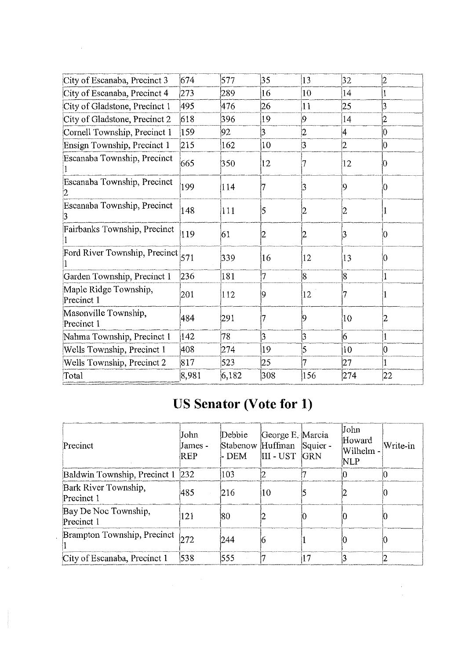| 32<br>14<br>$ 25\rangle$<br>14<br>14<br>l2 | 2<br>3<br>$\overline{2}$<br>10 |
|--------------------------------------------|--------------------------------|
|                                            |                                |
|                                            |                                |
|                                            |                                |
|                                            |                                |
|                                            |                                |
|                                            | 10                             |
| 12                                         | Ю                              |
| 19                                         | 10                             |
| 2                                          |                                |
| B                                          |                                |
| $ 13\rangle$                               |                                |
| 8                                          |                                |
|                                            |                                |
| 10                                         |                                |
| 16                                         |                                |
| 10                                         | 0                              |
| 27                                         |                                |
| 274                                        | 22                             |
|                                            |                                |

#### **US Senator (Vote for 1)**

| Precinct                           | John<br>James -<br>REP | Debbie<br>- DEM | George E. Marcia<br>Stabenow Huffman Squier -<br>III - UST | <b>GRN</b> | John<br>Howard<br>Wilhelm -<br>NLP | Write-in |
|------------------------------------|------------------------|-----------------|------------------------------------------------------------|------------|------------------------------------|----------|
| Baldwin Township, Precinct 1       | 232                    | 103             |                                                            |            |                                    |          |
| Bark River Township,<br>Precinct 1 | 485                    | 216             | 10                                                         |            |                                    |          |
| Bay De Noc Township,<br>Precinct 1 | 121                    | 180             |                                                            | O          |                                    |          |
| Brampton Township, Precinct 272    |                        | 244             |                                                            |            |                                    |          |
| City of Escanaba, Precinct 1       | 538                    | 555             |                                                            | 17         |                                    |          |

 $\hat{\boldsymbol{\beta}}$ 

 $\mathcal{A}^{\mathcal{A}}$ 

 $\lambda$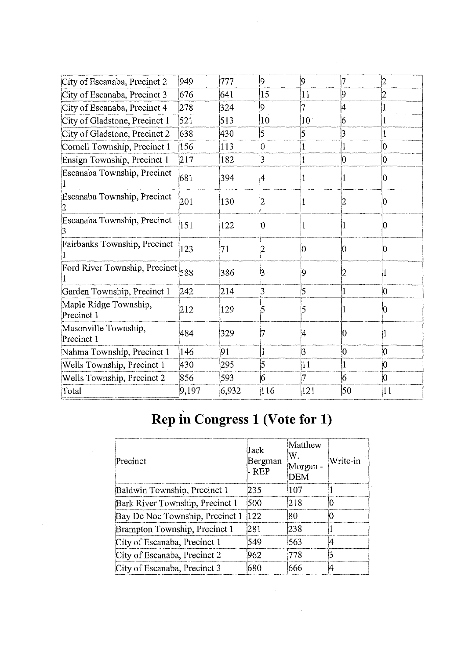| City of Escanaba, Precinct 2        | 949   | 777   | $ 9\rangle$     | $\overline{9}$  | 7            | 12     |
|-------------------------------------|-------|-------|-----------------|-----------------|--------------|--------|
| City of Escanaba, Precinct 3        | 676   | 641   | 15              | 11              | 9            | 2      |
| City of Escanaba, Precinct 4        | 278   | 324   | 9               | 7               | 4            |        |
| City of Gladstone, Precinct 1       | 521   | 513   | $ 10\rangle$    | 10 <sup>1</sup> | 6            |        |
| City of Gladstone, Precinct 2       | 638   | 430   | 5               | 5               | 3            |        |
| Cornell Township, Precinct 1        | 156   | 113   | 0               | 1               | 1            | 0      |
| Ensign Township, Precinct 1         | 217   | 182   | 3               | $\mathbf{1}$    | 10           | 10     |
| Escanaba Township, Precinct         | 681   | 394   | 14              |                 | T            | Ю      |
| Escanaba Township, Precinct         | 201   | 130   | 2               |                 | 2            | Ю      |
| Escanaba Township, Precinct         | 151   | 122   | 10              |                 |              | Ю      |
| Fairbanks Township, Precinct        | 123   | 71    | 2               | 10              | 10           | 0      |
| Ford River Township, Precinct 588   |       | 386   | $\vert 3 \vert$ | 9               | 2            |        |
| Garden Township, Precinct 1         | 242   | 214   | $\beta$         | 5               | 1            | $ 0\>$ |
| Maple Ridge Township,<br>Precinct 1 | 212   | 129   | 5               | 5               |              |        |
| Masonville Township,<br>Precinct 1  | 484   | 329   | 7               | 4               | 10           |        |
| Nahma Township, Precinct 1          | 146   | 91    | 1               | $\overline{3}$  | $ 0\rangle$  | 10     |
| Wells Township, Precinct 1          | 430   | 295   | 5               | 11              | $\mathbf{1}$ | 0      |
| Wells Township, Precinct 2          | 856   | 593   | 6               | 7               | 16           | $ 0\>$ |
| Total                               | 9,197 | 6,932 | 116             | 121             | 50           | 11     |
|                                     |       |       |                 |                 |              |        |

# Rep in Congress 1 (Vote for 1)

| Precinct                        | Jack<br>Bergman<br>- REP | Matthew<br>W.<br>Morgan -<br>DEM | Write-in |
|---------------------------------|--------------------------|----------------------------------|----------|
| Baldwin Township, Precinct 1    | 235                      | 107                              |          |
| Bark River Township, Precinct 1 | 500                      | 218                              |          |
| Bay De Noc Township, Precinct 1 | 122                      | 180                              |          |
| Brampton Township, Precinct 1   | 1281                     | 1238                             |          |
| City of Escanaba, Precinct 1    | 549                      | 563                              |          |
| City of Escanaba, Precinct 2    | 962                      | 778                              |          |
| City of Escanaba, Precinct 3    | 680                      | 666                              |          |

 $\mathcal{A}^{\mathcal{A}}$ 

 $\hat{\boldsymbol{\beta}}$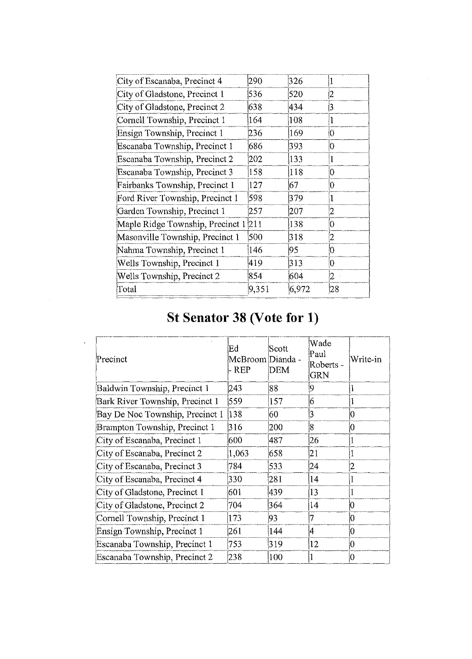| City of Escanaba, Precinct 4     | 290   | 326   |                |
|----------------------------------|-------|-------|----------------|
| City of Gladstone, Precinct 1    | 536   | 520   | 2              |
| City of Gladstone, Precinct 2    | 638   | 434   | 3              |
| Cornell Township, Precinct 1     | 164   | 108   |                |
| Ensign Township, Precinct 1      | 236   | 169   | $\overline{0}$ |
| Escanaba Township, Precinct 1    | 686   | 393   | $\overline{0}$ |
| Escanaba Township, Precinct 2    | 202   | 133   | 1              |
| Escanaba Township, Precinct 3    | 158   | 118   | 0              |
| Fairbanks Township, Precinct 1   | 127   | 67    | 10             |
| Ford River Township, Precinct 1  | 598   | 379   | 1              |
| Garden Township, Precinct 1      | 257   | 207   | 2              |
| Maple Ridge Township, Precinct 1 | 211   | 138   | 0              |
| Masonville Township, Precinct 1  | 500   | 318   | $\overline{2}$ |
| Nahma Township, Precinct 1       | 146   | 95    | $\rm 0$        |
| Wells Township, Precinct 1       | 419   | 313   | $\overline{0}$ |
| Wells Township, Precinct 2       | 854   | 604   | $\overline{2}$ |
| Total                            | 9,351 | 6,972 | 28             |

 $\hat{\boldsymbol{\epsilon}}$ 

#### **St Senator 38 (Vote for 1)**

 $\sim 10^{-10}$ 

 $\sim$   $\sim$ 

| Precinct                        | Ed<br>McBroom Dianda -<br>- REP | Scott<br><b>DEM</b> | Wade<br>Paul<br>Roberts -<br><b>GRN</b> | Write-in        |
|---------------------------------|---------------------------------|---------------------|-----------------------------------------|-----------------|
| Baldwin Township, Precinct 1    | 243                             | 88                  | 9                                       |                 |
| Bark River Township, Precinct 1 | 559                             | 157                 | 6                                       |                 |
| Bay De Noc Township, Precinct 1 | 138                             | 60                  | 3                                       | 10              |
| Brampton Township, Precinct 1   | 316                             | 200                 | 8                                       | $\vert 0 \vert$ |
| City of Escanaba, Precinct 1    | 600                             | 487                 | 26                                      |                 |
| City of Escanaba, Precinct 2    | 1,063                           | 658                 | $\overline{21}$                         |                 |
| City of Escanaba, Precinct 3    | 784                             | 533                 | 24                                      | 2               |
| City of Escanaba, Precinct 4    | 330                             | 281                 | 14                                      |                 |
| City of Gladstone, Precinct 1   | 601                             | 439                 | 13                                      |                 |
| City of Gladstone, Precinct 2   | 704                             | 364                 | 14                                      | 10              |
| Cornell Township, Precinct 1    | 173                             | 93                  | 7                                       | 10              |
| Ensign Township, Precinct 1     | 261                             | 144                 | 4                                       | 10              |
| Escanaba Township, Precinct 1   | 753                             | 319                 | 12                                      | 10              |
| Escanaba Township, Precinct 2   | 238                             | 100                 | 1                                       | 10              |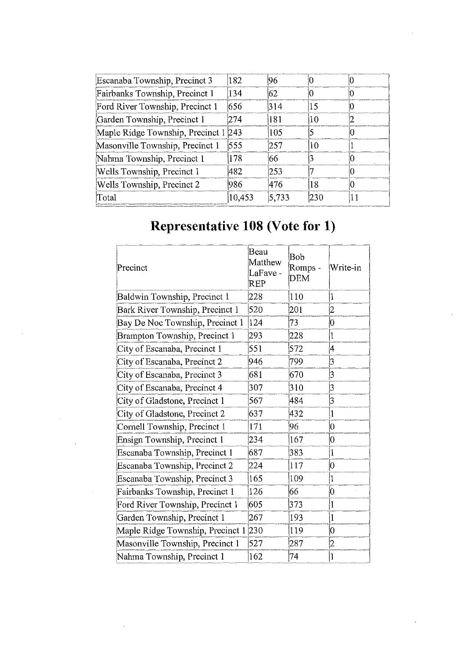| Escanaba Township, Precinct 3    | 182    | 196   |     |  |
|----------------------------------|--------|-------|-----|--|
| Fairbanks Township, Precinct 1   | 134    | 162   |     |  |
| Ford River Township, Precinct 1  | 656    | 314   | 15  |  |
| Garden Township, Precinct 1      | 274    | 181   | 10  |  |
| Maple Ridge Township, Precinct 1 | 243    | 105   |     |  |
| Masonville Township, Precinct 1  | 555    | 1257  | 10  |  |
| Nahma Township, Precinct 1       | 178    | 66    |     |  |
| Wells Township, Precinct 1       | 482    | 12.53 |     |  |
| Wells Township, Precinct 2       | 1986   | 1476  | 18  |  |
| Total                            | 10,453 | 5,733 | 230 |  |

## **Representative 108 (Vote for 1)**

| Precinct                         | Beau<br>Matthew<br>LaFave -<br>REP | Bob<br>Romps -<br><b>DEM</b> | Write-in       |
|----------------------------------|------------------------------------|------------------------------|----------------|
| Baldwin Township, Precinct 1     | 228                                | 110                          | 1              |
| Bark River Township, Precinct 1  | 520                                | 201                          | $\overline{2}$ |
| Bay De Noc Township, Precinct 1  | 124                                | 73                           | Ю              |
| Brampton Township, Precinct 1    | 293                                | 228                          | 1              |
| City of Escanaba, Precinct 1     | 551                                | 572                          | 4              |
| City of Escanaba, Precinct 2     | 946                                | 799                          | 3              |
| City of Escanaba, Precinct 3     | 681                                | 670                          | 3              |
| City of Escanaba, Precinct 4     | 307                                | 310                          | 3              |
| City of Gladstone, Precinct 1    | 567                                | 484                          | 3              |
| City of Gladstone, Precinct 2    | 637                                | 432                          | $\mathbf{1}$   |
| Cornell Township, Precinct 1     | 171                                | 96                           | $\overline{0}$ |
| Ensign Township, Precinct 1      | 234                                | 167                          | 0              |
| Escanaba Township, Precinct 1    | 687                                | 383                          | $\mathbf{1}$   |
| Escanaba Township, Precinct 2    | 224                                | 117                          | 0              |
| Escanaba Township, Precinct 3    | 165                                | 109                          | $\mathbf 1$    |
| Fairbanks Township, Precinct 1   | 126                                | 66                           | 0              |
| Ford River Township, Precinct 1  | 605                                | 373                          | 1              |
| Garden Township, Precinct 1      | 267                                | 193                          | $\mathbf{1}$   |
| Maple Ridge Township, Precinct 1 | 230                                | 119                          | 0              |
| Masonville Township, Precinct 1  | 527                                | 287                          | 2              |
| Nahma Township, Precinct 1       | 162                                | 74                           | 1              |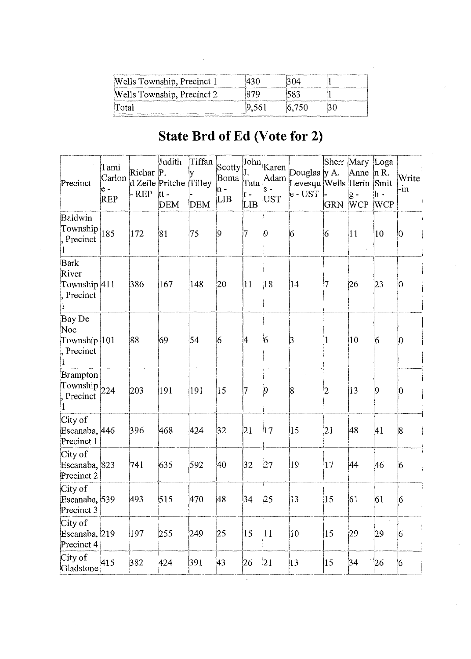| Wells Township, Precinct 1 |       |       |  |
|----------------------------|-------|-------|--|
| Wells Township, Precinct 2 |       |       |  |
| Total                      | 9,561 | 6.750 |  |

#### State Brd of Ed (Vote for 2)

| Precinct                                         | Tami<br>Carlon<br>$e -$<br>REP | Richar P.<br>- REP | Judith<br>d Zeile Pritche<br>tt -<br><b>DEM</b> | Tiffan<br>y<br>Tilley<br><b>DEM</b> | Scotty<br>Boma<br>in -<br><b>LIB</b> | Tata<br>ir -<br>LIB | $\left  \text{John} \right _{\text{Karen}}$<br><b>UST</b> | Douglas y A.<br>Adam Levesqu Wells Herin Smit<br>e - UST | <b>GRN</b> | Sherr Mary Loga<br>Anne<br>$g -$<br><b>WCP</b> | $ln R$ .<br>∣h -<br><b>WCP</b> | Write<br>-in |
|--------------------------------------------------|--------------------------------|--------------------|-------------------------------------------------|-------------------------------------|--------------------------------------|---------------------|-----------------------------------------------------------|----------------------------------------------------------|------------|------------------------------------------------|--------------------------------|--------------|
| Baldwin<br>Township<br>Precinct                  | 185                            | 172                | 81                                              | 75                                  | 9                                    | 17                  | $ 9\rangle$                                               | 6                                                        | 6          | $ 11\rangle$                                   | $ 10\rangle$                   | 0            |
| Bark<br>River<br>Township 411<br>Precinct        |                                | 386                | 167                                             | 148                                 | 20                                   | 11                  | $ 18\rangle$                                              | 14                                                       | 17         | 26                                             | $ 23\rangle$                   | 10           |
| Bay De<br>Noc<br>Township 101<br>Precinct        |                                | 88                 | 69                                              | 54                                  | 6                                    | 4                   | 6                                                         | 3                                                        |            | 10                                             | 6                              | $ 0\>$       |
| <b>Brampton</b><br>Township $_{224}$<br>Precinct |                                | 203                | 191                                             | 191                                 | 15                                   | 17                  | $ 9\rangle$                                               | 18                                                       | 2          | 13                                             | 9                              | $ 0\>$       |
| City of<br>Escanaba, 446<br>Precinct 1           |                                | 396                | 468                                             | 424                                 | 32                                   | 21                  | $ 17\rangle$                                              | 15                                                       | 21         | 48                                             | 41                             | 8            |
| City of<br>Escanaba, 823<br>Precinct 2           |                                | 741                | 635                                             | 592                                 | 40                                   | 32                  | 27                                                        | 19                                                       | 17         | 44                                             | 46                             | 6            |
| City of<br>Escanaba, 539<br>Precinct 3           |                                | 493                | 515                                             | 470                                 | 48                                   | 34                  | $ 25\rangle$                                              | 13                                                       | 15         | 61                                             | 61                             | 6            |
| City of<br>Escanaba, 219<br>Precinct 4           |                                | 197                | 255                                             | 249                                 | 25                                   | 15                  | 11                                                        | 10                                                       | 15         | 29                                             | 29                             | 6            |
| City of<br>Gladstone                             | 415                            | 382                | 424                                             | 391                                 | 43                                   | 26                  | 21                                                        | 13                                                       | 15         | 34                                             | 26                             | 6            |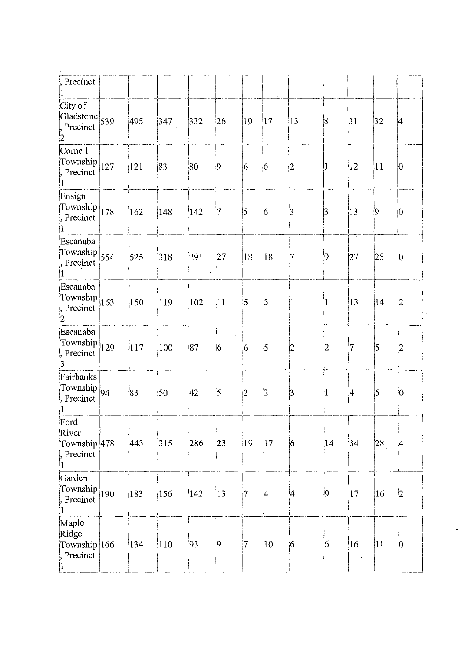| Precinct                                                          |     |               |               |                                 |                 |                 |                 |                 |                                      |              |                 |
|-------------------------------------------------------------------|-----|---------------|---------------|---------------------------------|-----------------|-----------------|-----------------|-----------------|--------------------------------------|--------------|-----------------|
| City of<br>Gladstone $539$<br>Precinct<br>2                       | 495 | $ 347\rangle$ | 332           | i,<br>26                        | 19              | 17              | $ 13\rangle$    | $\vert 8 \vert$ | 31                                   | 32           | 4               |
| Cornell<br>Township $ _{127}$<br>Precinct<br>1                    | 121 | 83            | 80            | $\vert 9 \vert$                 | $\overline{6}$  | 6               | $ 2\rangle$     | $ 1\rangle$     | $ 12\rangle$                         | 11           | JO.             |
| Ensign<br>Township $ 178 $<br>, Precinct                          | 162 | 148           | $ 142\rangle$ | 17                              | 5               | $\vert 6 \vert$ | $\beta$         | 3               | $ 13\rangle$                         | $ 9\rangle$  | $ 0\rangle$     |
| Escanaba<br>Township $\left  \frac{554}{554} \right $<br>Precinct | 525 | 318           | 291           | 27 <br>$\overline{\phantom{a}}$ | 18              | 18              | 17              | 9               | 27                                   | $ 25\rangle$ | $\vert 0 \vert$ |
| Escanaba<br>Township $ 163 $<br>Precinct<br>2                     | 150 | 119           | $ 102\rangle$ | 11                              | 5               | 5               | $\overline{1}$  | 11              | $ 13\rangle$                         | 14           | $ 2\rangle$     |
| Escanaba<br>Township $ 129 $<br>Precinct                          | 117 | 100           | 87            | 6                               | 6               | ļ5              | 2               | 2               | 7                                    | 5            | $ 2\rangle$     |
| Fairbanks<br>Township $_{94}$<br>Precinct<br>$ 1 -$               | 83  | 50            | 42            | 5                               | $\vert 2 \vert$ | $ 2\rangle$     | þ               | $\vert$ 1       | $\vert 4$                            | 5            | $ 0\rangle$     |
| Ford<br>River<br>Township 478<br>, Precinct<br>1                  | 443 | 315           | 286           | 23                              | 19              | $ 17\rangle$    | $\vert 6 \vert$ | 14              | 34                                   | 28           | 4               |
| Garden<br>Township $\vert_{190}$<br>, Precinct<br>1               | 183 | 156           | $\vert$ 142   | 13                              | 7               | $\vert 4 \vert$ | ∣4              | 9               | 17                                   | $ 16\rangle$ | $ 2\rangle$     |
| Maple<br>Ridge<br>Township 166<br>Precinct                        | 134 | 110           | 93            | 9                               | 17              | $ 10\rangle$    | 6               | 6               | $ 16\rangle$<br>$\ddot{\phantom{a}}$ | $ 11\rangle$ | $ 0\rangle$     |

 $\mathcal{L}^{\text{max}}_{\text{max}}$ 

 $\label{eq:2.1} \frac{1}{\sqrt{2}}\int_{\mathbb{R}^3}\frac{1}{\sqrt{2}}\left(\frac{1}{\sqrt{2}}\int_{\mathbb{R}^3}\frac{1}{\sqrt{2}}\left(\frac{1}{\sqrt{2}}\int_{\mathbb{R}^3}\frac{1}{\sqrt{2}}\left(\frac{1}{\sqrt{2}}\int_{\mathbb{R}^3}\frac{1}{\sqrt{2}}\right)\frac{1}{\sqrt{2}}\right)\frac{1}{\sqrt{2}}\right)=\frac{1}{2}\int_{\mathbb{R}^3}\frac{1}{\sqrt{2}}\int_{\mathbb{R}^3}\frac{1}{\sqrt{2}}\frac{1}{\$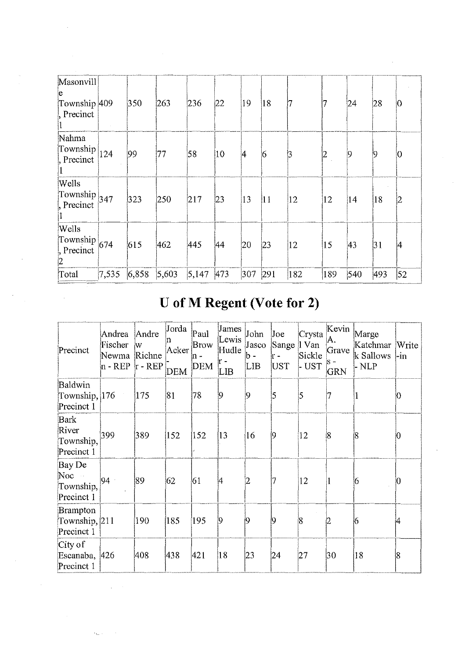| Masonvill<br>le.<br>Township 409<br>Precinct             |       | 350   | 263   | 236       | 22           | 19           | 18           |              |               | 24  | 28  | 10 |
|----------------------------------------------------------|-------|-------|-------|-----------|--------------|--------------|--------------|--------------|---------------|-----|-----|----|
| Nahma<br>$\lfloor$ Township $\rfloor$<br>Precinct        | 124   | 99    | 77    | 58        | $ 10\rangle$ | 4            | 6            | 3            |               | ļQ  | 19  | 0  |
| Wells<br>Township $_{347}$<br>Precinct                   |       | 323   | 250   | 217       | 23           | $ 13\rangle$ | $ 11\rangle$ | $ 12\rangle$ | 12            | 14  | 18  | 2  |
| Wells<br>Township $ _{674}$<br>, Precinct<br>$ 2\rangle$ |       | 615   | 462   | 445       | 44           | 20           | $ 23\rangle$ | 12           | $ 15\rangle$  | 43  | 31  | 14 |
| Total                                                    | 7,535 | 6,858 | 5,603 | 5,147 473 |              | 307          | 291          | 182          | $ 189\rangle$ | 540 | 493 | 52 |

## U of M Regent (Vote for 2)

| Precinct                                       | Andrea<br>Fischer<br>Newma<br>$n - REP$ | Andre<br>W<br>Richne<br>$r - REP$ | Jorda<br>Acker<br><b>DEM</b> | Paul<br>Brow<br>$\ln$ -<br><b>DEM</b> | James<br>Lewis<br>Hudle<br>ir -<br>LIB | John<br>Jasco<br>b -<br>LIB | Joe<br>Sange<br>ir -<br>UST | Crysta<br>   Van<br>Sickle<br>- UST | Kevin<br>A.<br>Grave<br>$S -$<br><b>GRN</b> | Marge<br>Katchmar<br>k Sallows<br>- NLP | Write<br>-in |
|------------------------------------------------|-----------------------------------------|-----------------------------------|------------------------------|---------------------------------------|----------------------------------------|-----------------------------|-----------------------------|-------------------------------------|---------------------------------------------|-----------------------------------------|--------------|
| Baldwin<br>Township, $ 176 $<br>Precinct 1     |                                         | 175                               | 81                           | 78                                    | 19                                     | 19                          | 5                           | $\overline{5}$                      | 7                                           | 1                                       | 10           |
| Bark<br>River<br>Township,<br>Precinct 1       | 399                                     | 389                               | 152                          | 152                                   | $ 13\rangle$                           | 16                          | 9                           | 12                                  | $\overline{8}$                              | 18                                      | O            |
| Bay De<br>Noc<br>Township,<br>Precinct 1       | 94                                      | 89                                | 62                           | 61                                    | 14                                     | 2                           | 17                          | $ 12\rangle$                        |                                             | 16                                      | 10           |
| <b>Brampton</b><br>Township, 211<br>Precinct 1 |                                         | 190                               | 185                          | 195                                   | Ì9                                     | ÏQ.                         | 9                           | Ì8                                  | $\overline{2}$                              | 16                                      | 14           |
| City of<br>Escanaba, 426<br>Precinct 1         |                                         | 408                               | 438                          | 421                                   | 18                                     | 23                          | 24                          | 27                                  | 30                                          | 18                                      | 8            |

 $\hat{\mathcal{A}}$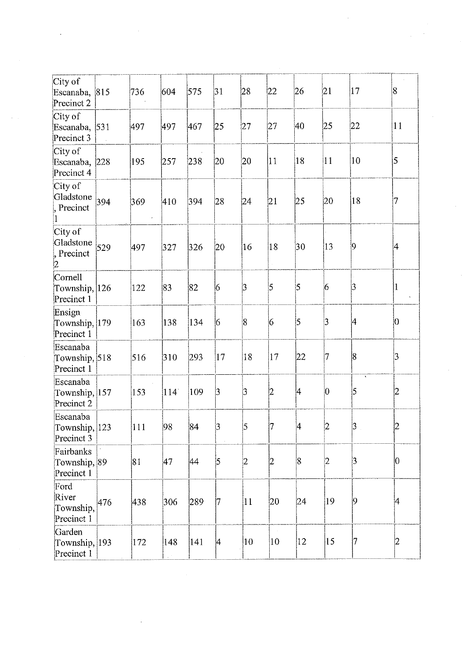| City of<br>Escanaba,<br>Precinct 2       | 815         | 736 | 604 | 575 | 31              | 28           | 22              | 26             | 21 | 17                           | 8            |
|------------------------------------------|-------------|-----|-----|-----|-----------------|--------------|-----------------|----------------|----|------------------------------|--------------|
| City of<br>Escanaba,<br>Precinct 3       | $\vert 531$ | 497 | 497 | 467 | $ 25\rangle$    | 27           | 27              | 40             | 25 | 22                           | 11           |
| City of<br>Escanaba,<br>Precinct 4       | 228         | 195 | 257 | 238 | 20              | 20           | 11              | 18             | 11 | 10                           | 5            |
| City of<br>Gladstone<br>Precinct<br>1    | 394         | 369 | 410 | 394 | 28              | 24           | 21              | 25             | 20 | 18                           | 7            |
| City of<br>Gladstone<br>Precinct<br>2    | 529         | 497 | 327 | 326 | 20              | 16           | 18              | 30             | 13 | 9                            | 4            |
| Cornell<br>Township, 126<br>Precinct 1   |             | 122 | 83  | 82  | 6               | 3            | 5               | 5              | 6  | $\overline{3}$               | $\mathbf{1}$ |
| Ensign<br>Township, 179<br>Precinct 1    |             | 163 | 138 | 134 | $\overline{6}$  | 8            | $\vert 6 \vert$ | $\overline{5}$ | 3  | 4                            | 10           |
| Escanaba<br>Township, 518<br>Precinct 1  |             | 516 | 310 | 293 | 17              | 18           | 17              | 22             | 17 | $\overline{8}$               | 3            |
| Escanaba<br>Township, 157<br>Precinct 2  |             | 153 | 114 | 109 | $\vert 3 \vert$ | 3            | 2               | 4              | 0  | $\Lambda$<br>$\vert 5 \vert$ | 2            |
| Escanaba<br>Township, 123<br>Precinct 3  |             | 111 | 98  | 84  | 3               | 5            |                 | 4              | ľ2 | 3 <sup>1</sup>               | 2            |
| Fairbanks<br>Township, 89<br>Precinct 1  |             | 81  | 47  | 44  | 5               | 2            | 12              | 8              | 2  | $\vert 3 \vert$              | 0            |
| Ford<br>River<br>Township,<br>Precinct 1 | 476         | 438 | 306 | 289 | 17              | 11           | 20              | 24             | 19 | $\overline{9}$               | 4            |
| Garden<br>Township, 193<br>Precinct 1    |             | 172 | 148 | 141 | 4               | $ 10\rangle$ | 10              | 12             | 15 | 7                            | 2            |

 $\bar{\gamma}$ 

 $\ddot{\phantom{a}}$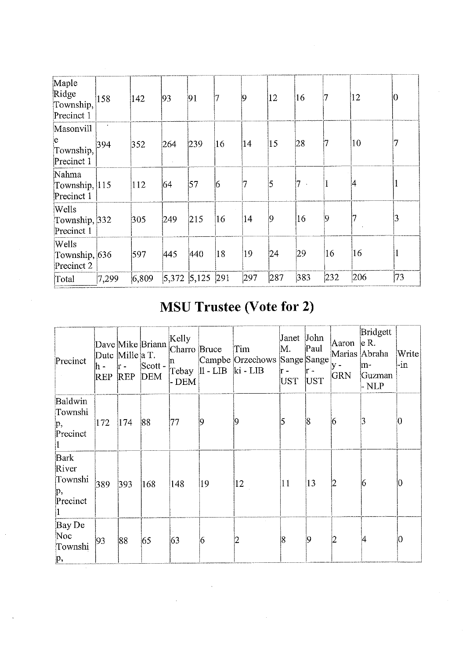| Maple<br>Ridge<br>Township,<br>Precinct 1 | 158               | 142           | 93              | 91  |                | 19           | 12           | 16  |     | 12  | 10             |
|-------------------------------------------|-------------------|---------------|-----------------|-----|----------------|--------------|--------------|-----|-----|-----|----------------|
| Masonvill<br>e<br>Township,<br>Precinct 1 | $\epsilon$<br>394 | 352           | 264             | 239 | $ 16\rangle$   | 14           | $ 15\rangle$ | 28  |     | 10  |                |
| Nahma<br>Township, $ 115 $<br>Precinct 1  |                   | $ 112\rangle$ | 64              | 57  | $\overline{6}$ | 7            | 5            | 7   |     | 4   |                |
| Wells<br>Township, 332<br>Precinct 1      |                   | 305           | 249             | 215 | 16             | 14           | $ 9\rangle$  | 16  | 9   |     | $\overline{3}$ |
| Wells<br>Township, 636<br>Precinct 2      |                   | 597           | 445             | 440 | 18             | $ 19\rangle$ | 24           | 29  | 16  | 16  |                |
| Total                                     | 7,299             | 6,809         | $5,372$ $5,125$ |     | 291            | 297          | 287          | 383 | 232 | 206 | 73             |

## **MSU Trustee (Vote for 2)**

| Precinct                                   | lh -<br><b>REP</b> | Dutc Mille a T.<br>h-<br><b>REP</b> | Dave Mike Briann<br>Scott -<br><b>DEM</b> | Kelly<br>Charro Bruce<br>- DEM | Tebay   11 - LIB   ki - LIB | Tim<br>Campbe Orzechows Sange Sange | Janet John<br>M.<br>ir –<br>UST | Paul<br>lr -<br>UST | Aaron<br>$V -$<br>GRN | Bridgett<br> e R.<br>Marias Abraha<br>m-<br>Guzman<br>- NLP | Write<br>-in |
|--------------------------------------------|--------------------|-------------------------------------|-------------------------------------------|--------------------------------|-----------------------------|-------------------------------------|---------------------------------|---------------------|-----------------------|-------------------------------------------------------------|--------------|
| Baldwin<br>Townshi<br>p,<br>Precinct       | 172                | 174                                 | 88                                        | 77                             | 19                          | 19                                  | 5                               | 18                  | 6                     | 3                                                           | О            |
| Bark<br>River<br>Townshi<br>p,<br>Precinct | 389                | 393                                 | $ 168\rangle$                             | 148                            | 19                          | 12                                  | 11                              | 13                  | İ2                    | 6                                                           | 10           |
| Bay De<br>Noc<br>Townshi<br>$\mathbf{p},$  | 93                 | 88                                  | 65                                        | 63                             | 16                          | 2                                   | 18                              | 19                  | I2                    | 4                                                           | Ю            |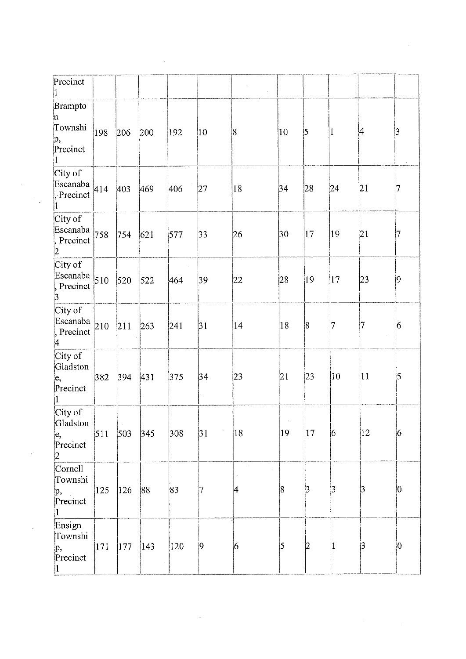| Precinct                                              |     |               |               |               |               |           |              |                |                |                |                 |
|-------------------------------------------------------|-----|---------------|---------------|---------------|---------------|-----------|--------------|----------------|----------------|----------------|-----------------|
| <b>Brampto</b><br>n<br>Townshi<br>p,<br>Precinct<br>1 | 198 | 206           | 200           | 192           | $ 10\rangle$  | $\vert 8$ | $ 10\rangle$ | $\vert$ 5      | $\mathbf{1}$   | $\overline{4}$ | 3 <br>$\sim$    |
| City of<br>Escanaba $ 414 $<br>Precinct               |     | 403           | 469           | 406           | 27            | 18        | 34           | 28             | 24             | 21             | 17              |
| City of<br>Escanaba $_{758}$<br>Precinct<br>2         |     | 754           | 621           | 577           | $ 33\rangle$  | 26        | 30           | $ 17\rangle$   | 19             | 21             | 17              |
| City of<br>Escanaba $\vert$ 510<br>Precinct<br>3      |     | $ 520\rangle$ | 522           | 464           | 39            | 22        | 28           | 19             | 17             | $ 23\rangle$   | $ 9\rangle$     |
| City of<br>Escanaba $_{210}$<br>Precinct<br>4         |     | 211           | 263           | 241           | 31            | 14        | 18           | $\overline{8}$ | 7              | 17             | $6\overline{6}$ |
| City of<br>Gladston<br>ļe,<br>Precinct                | 382 | 394           | 431           | 375           | 34            | 23        | 21           | $ 23\rangle$   | $ 10\rangle$   | $ 11\rangle$   | $\overline{5}$  |
| City of<br>Gladston<br>ļe,<br>Precinct<br>2           | 511 | 503           | 345           | $ 308\rangle$ | $\sim$<br> 31 | 18        | 19           | $ 17\rangle$   | $\overline{6}$ | $ 12\rangle$   | $\vert 6 \vert$ |
| Cornell<br>Townshi<br>p,<br>Precinct                  | 125 | $ 126\rangle$ | 88            | 83            | 17            | 4         | 8            | b              | 3              | 3              | $\vert 0 \vert$ |
| Ensign<br>Townshi<br>p,<br>Precinct                   | 171 | 177           | $ 143\rangle$ | 120           | $ 9\rangle$   | 6         | 5            | $ 2\rangle$    | $\vert$ 1      | 3              | 0               |

 $\label{eq:2.1} \frac{1}{\sqrt{2}}\int_{0}^{\infty}\frac{1}{\sqrt{2\pi}}\left(\frac{1}{\sqrt{2\pi}}\right)^{2\alpha} \frac{1}{\sqrt{2\pi}}\int_{0}^{\infty}\frac{1}{\sqrt{2\pi}}\left(\frac{1}{\sqrt{2\pi}}\right)^{\alpha} \frac{1}{\sqrt{2\pi}}\int_{0}^{\infty}\frac{1}{\sqrt{2\pi}}\frac{1}{\sqrt{2\pi}}\frac{1}{\sqrt{2\pi}}\frac{1}{\sqrt{2\pi}}\frac{1}{\sqrt{2\pi}}\frac{1}{\sqrt{2\pi}}\frac{1}{\sqrt{2\pi}}$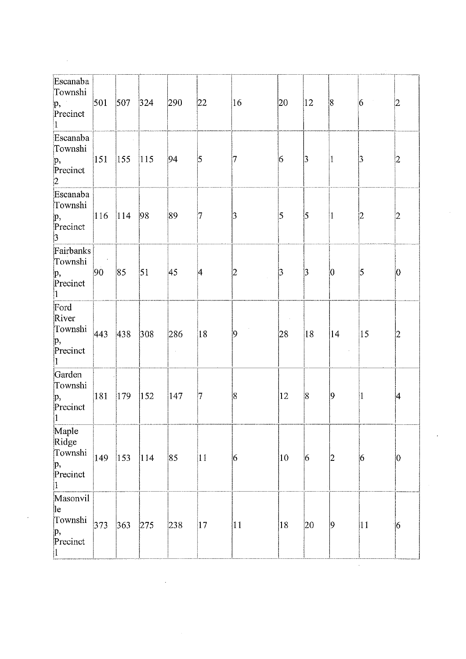| Escanaba<br>Townshi<br>$\mathbf{p},$<br>Precinct<br>$ 1\rangle$ | 501           | 507           | 324           | 290           | 22              | $ 16\rangle$    | 20              | $ 12\rangle$ | 8               | $\sim$ $\sigma$ .<br>6 | 2               |
|-----------------------------------------------------------------|---------------|---------------|---------------|---------------|-----------------|-----------------|-----------------|--------------|-----------------|------------------------|-----------------|
| Escanaba<br>Townshi<br>p,<br>Precinct<br> 2                     | $ 151\rangle$ | $ 155\rangle$ | $ 115\rangle$ | 94            | $\vert 5 \vert$ | 7               | 6               | 3            | 1               | 3                      | 2               |
| Escanaba<br>Townshi<br>p,<br>Precinct<br>$ 3 -$                 | $ 116\rangle$ | $ 114\rangle$ | 98            | 89            | 17              | $\vert$ 3       | S.              | 5            | 1               | 2                      | 2               |
| Fairbanks<br>Townshi<br>p,<br>Precinct<br>$ 1\rangle$           | 90            | 85            | $\mathsf{S}1$ | 45            | $\vert 4 \vert$ | 2               | $\vert 3 \vert$ | $\beta$      | $\vert 0 \vert$ | $\overline{5}$         | $\overline{0}$  |
| Ford<br>River<br>Townshi<br>p,<br>Precinct<br>$ 1\rangle$       | 443           | 438           | $ 308\rangle$ | 286           | 18              | $\vert 9 \vert$ | 28              | 18           | 14              | $ 15\rangle$           | 12              |
| Garden<br>Townshi<br>p,<br>Precinct<br>$\vert 1 \vert$          | 181           | $ 179\rangle$ | 152           | $ 147\rangle$ | 17              | 8               | 12              | 8            | $\vert 9 \vert$ | 1                      | 4               |
| Maple<br>Ridge<br>Townshi<br>p,<br>Precinct<br> 1               | 149           | $ 153\rangle$ | 114           | 85            | 11              | 6               | 10              | 6            | 2               | 6                      | 0               |
| Masonvil<br>le<br>Townshi<br>p,<br>Precinct<br>1                | 373           | 363           | 275           | 238           | $ 17\rangle$    | 11              | 18              | 20           | $ 9\rangle$     | 11                     | $\vert 6 \vert$ |

 $\mathcal{L}^{\text{max}}_{\text{max}}$  ,  $\mathcal{L}^{\text{max}}_{\text{max}}$ 

 $\sim$ 

 $\sim 10^{11}$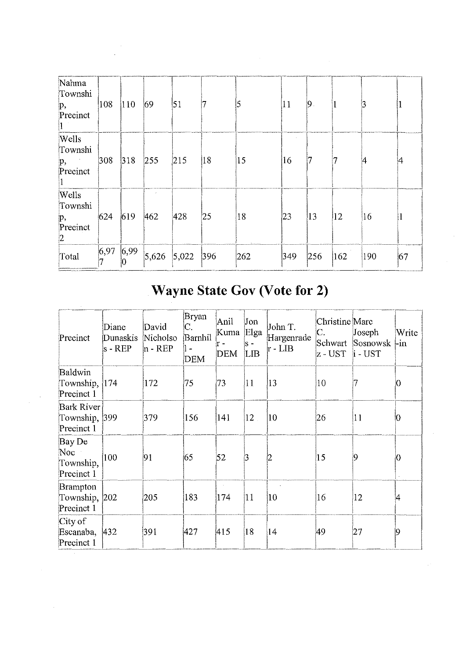| Nahma<br>Townshi<br>p,<br>Precinct                       | 108  | $ 110\rangle$ | 69  | 51                |    | 5   | $ 11\rangle$  | $ 9 \rangle$ |               | 3   |    |
|----------------------------------------------------------|------|---------------|-----|-------------------|----|-----|---------------|--------------|---------------|-----|----|
| <b>Wells</b><br>Townshi<br>$\mathbf{p},$<br>Precinct     | 308  | 318           | 255 | 215               | 18 | 15  | 16            | 7            | 17            | 14  | 14 |
| <b>Wells</b><br>Townshi<br>p,<br>Precinct<br>$ 2\rangle$ | 624  | 619           | 462 | 428               | 25 | 18  | 23            | $ 13\rangle$ | $ 12\rangle$  | 16  |    |
| Total                                                    | 6,97 | 6,99          |     | $5,626$ 5,022 396 |    | 262 | $ 349\rangle$ | 256          | $ 162\rangle$ | 190 | 67 |

# Wayne State Gov (Vote for 2)

| Precinct                                  | Diane<br>Dunaskis<br>$s$ - $REP$ | David<br>Nicholso<br>n - REP | Bryan<br>C.<br>Barnhil<br>$\blacksquare$<br><b>DEM</b> | Anil<br>Kuma<br>r -<br>DEM | Jon<br>Elga<br>k -<br>LIB | John T.<br>Hargenrade<br>r - LIB | Christine Marc<br>C.<br>z - UST  i - UST | Joseph<br>Schwart Sosnowsk-in | Write |
|-------------------------------------------|----------------------------------|------------------------------|--------------------------------------------------------|----------------------------|---------------------------|----------------------------------|------------------------------------------|-------------------------------|-------|
| Baldwin<br>Township, 174<br>Precinct 1    |                                  | 172                          | 75                                                     | 73                         | $ 11\rangle$              | $ 13\rangle$                     | 10                                       |                               | Ю     |
| Bark River<br>Township, 399<br>Precinct 1 |                                  | 379                          | 156                                                    | 141                        | 12                        | 10                               | 26                                       | 11                            | 10    |
| Bay De<br>Noc<br>Township,<br>Precinct 1  | 100                              | 91                           | 65                                                     | 52                         | 3                         | İ2                               | 15                                       | Ю                             | Ю     |
| Brampton<br>Township, 202<br>Precinct 1   |                                  | 205                          | 183                                                    | 174                        | 11                        | 10                               | 16                                       | 12                            | 4     |
| City of<br>Escanaba, 432<br>Precinct 1    |                                  | 391                          | 427                                                    | 415                        | 18                        | 14                               | 49                                       | 27                            | 19    |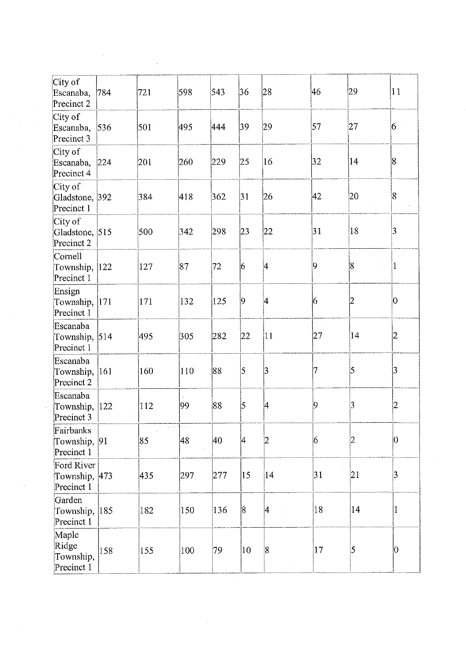| City of                                   |     |              |                                                   |               |              |    |              |    |  |
|-------------------------------------------|-----|--------------|---------------------------------------------------|---------------|--------------|----|--------------|----|--|
| Escanaba,<br>Precinct 2                   | 784 | 721          | 598                                               | 543           | 36           | 28 | 46           | 29 |  |
| City of<br>Escanaba, 536<br>Precinct 3    |     | 501          | 495                                               | 444           | 39           | 29 | 57           | 27 |  |
| City of<br>Escanaba,<br>Precinct 4        | 224 | 201          | 260                                               | 229           | 25           | 16 | 32           | 14 |  |
| City of<br>Gladstone, 392<br>Precinct 1   |     | 384          | 418                                               | 362           | 31           | 26 | 42           | 20 |  |
| City of<br>Gladstone, 515<br>Precinct 2   |     | 500          | 342                                               | 298           | 23           | 22 | 31           | 18 |  |
| Cornell<br>Township, 122<br>Precinct 1    |     | 127          | 87                                                | 172           | 6            | 4  | ļ9.          | 8  |  |
| Ensign<br>Township, 171<br>Precinct 1     |     | 171          | 132                                               | $ 125\rangle$ | $ 9\rangle$  | 4  | 6            | 2  |  |
| Escanaba<br>Township, 514<br>Precinct 1   |     | 495          | 305                                               | 282           | 22           | 11 | 27           | 14 |  |
| Escanaba<br>Township, 161<br>Precinct 2   |     | 160          | 110                                               | 88            | l5           | 3  | 7            | 5  |  |
| Escanaba<br>Township, 122<br>Precinct 3   |     | 112          | 99                                                | 88            | 5            | 4  | $ 9\rangle$  | 3  |  |
| Fairbanks<br>Township, 91<br>Precinct 1   |     | $\sim$<br>85 | $\mathcal{C}(\ell_{\mathrm{max}})$<br>فتبيأ<br>48 | 40            | 4            | 2  | 6            | 2  |  |
| Ford River<br>Township, 473<br>Precinct 1 |     | 435          | 297                                               | 277           | $ 15\rangle$ | 14 | 31           | 21 |  |
| Garden<br>Township, 185<br>Precinct 1     |     | 182          | 150                                               | 136           | 8            | 4  | 18           | 14 |  |
| Maple<br>Ridge<br>Township,<br>Precinct 1 | 158 | 155          | 100                                               | 79            | $ 10\rangle$ | 8  | $ 17\rangle$ | 5  |  |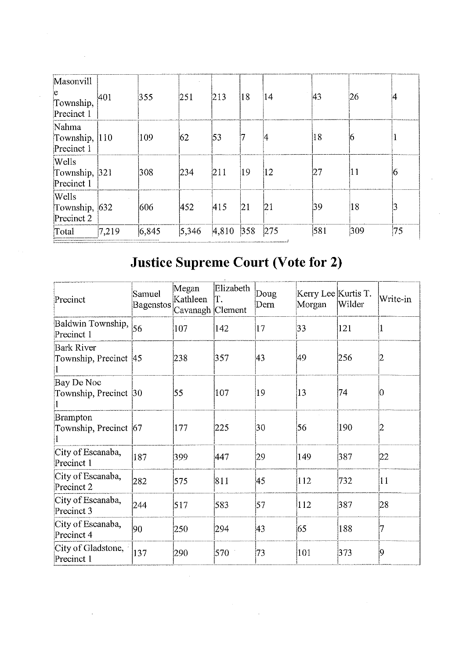| Masonvill<br>ю<br>Township,<br>Precinct 1   | 401   | 355   | 251   | 213   | 18            | 14           | <sup>43</sup> | 26  | 14 |
|---------------------------------------------|-------|-------|-------|-------|---------------|--------------|---------------|-----|----|
| Nahma<br>Township, 110<br>Precinct 1        |       | 109   | 62    | 53    |               | ļ4           | 18            | Ю   |    |
| <b>Wells</b><br>Township, 321<br>Precinct 1 |       | 308   | 234   | 211   | 19            | $ 12\rangle$ | 127           | 11  | i0 |
| Wells<br>Township, 632<br>Precinct 2        |       | 606   | 452   | 415   | 21            | 21           | 39            | 18  | 3  |
| Total                                       | 7,219 | 6,845 | 5,346 | 4,810 | $ 358\rangle$ | 275          | 581           | 309 | 75 |

## **Justice Supreme Court (Vote for 2)**

| Precinct                                   | Samuel<br>Bagenstos | Megan<br>Kathleen<br>Cavanagh Clement | Elizabeth<br>ĪΤ. | Doug<br>Dern | Kerry Lee Kurtis T.<br>Morgan | Wilder | Write-in |
|--------------------------------------------|---------------------|---------------------------------------|------------------|--------------|-------------------------------|--------|----------|
| Baldwin Township, 56<br>Precinct 1         |                     | 107                                   | 142              | 17           | 33                            | 121    | П.       |
| <b>Bark River</b><br>Township, Precinct 45 |                     | 238                                   | 357              | 43           | l49                           | 256    |          |
| Bay De Noc<br>Township, Precinct 30        |                     | 55                                    | 107              | 19           | 13                            | 74     |          |
| Brampton<br>Township, Precinct 67          |                     | 177                                   | 225              | 30           | 56                            | 190    | 2        |
| City of Escanaba,<br>Precinct 1            | 187                 | 399                                   | 447              | 29           | 149                           | 387    | 22       |
| City of Escanaba,<br>Precinct 2            | 282                 | 575                                   | 811              | 45           | 112                           | 732    | 11       |
| City of Escanaba,<br>Precinct 3            | 244                 | 517                                   | 583              | 57           | 112                           | 387    | 28       |
| City of Escanaba,<br>Precinct 4            | 90                  | 250                                   | 294              | 43           | 65                            | 188    |          |
| City of Gladstone,<br>Precinct 1           | 137                 | 290                                   | 570              | 73           | 101                           | 373    | 19       |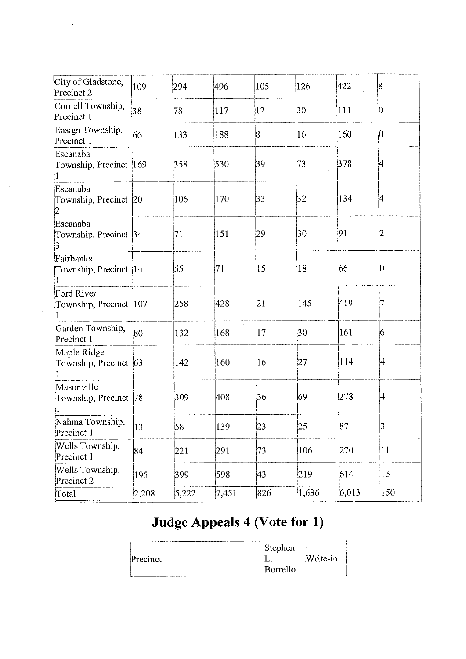| City of Gladstone,<br>Precinct 2       | 109   | 294   | 496   | 105     | 126   | 422   | 18             |
|----------------------------------------|-------|-------|-------|---------|-------|-------|----------------|
| Cornell Township,<br>Precinct 1        | 38    | 78    | 117   | 12      | 30    | 111   | $ 0\rangle$    |
| Ensign Township,<br>Precinct 1         | 66    | 133   | 188   | 8       | 16    | 160   | İO.            |
| Escanaba<br>Township, Precinct 169     |       | 358   | 530   | 39      | 73    | 378   | 4              |
| Escanaba<br>Township, Precinct 20      |       | 106   | 170   | 33      | 32    | 134   | 4              |
| Escanaba<br>Township, Precinct 34<br>3 |       | 71    | 151   | 29      | 30    | 91    | 12             |
| Fairbanks<br>Township, Precinct 14     |       | 55    | 71    | 15      | 18    | 66    | 10             |
| Ford River<br>Township, Precinct 107   |       | 258   | 428   | 21      | 145   | 419   | 7              |
| Garden Township,<br>Precinct 1         | 80    | 132   | 168   | $ 17\>$ | 30    | 161   | 16             |
| Maple Ridge<br>Township, Precinct 63   |       | 142   | 160   | 16      | 27    | 114   | 4              |
| Masonville<br>Township, Precinct  78   |       | 309   | 408   | 36      | 69    | 278   | 4              |
| Nahma Township,<br>Precinct 1          | 13    | 58    | 139   | 23      | 25    | 87    | $\overline{3}$ |
| Wells Township,<br>Precinct 1          | 84    | 221   | 291   | 73      | 106   | 270   | 11             |
| Wells Township,<br>Precinct 2          | 195   | 399   | 598   | 43      | 219   | 614   | 15             |
| Total                                  | 2,208 | 5,222 | 7,451 | 826     | 1,636 | 6,013 | 150            |

## Judge Appeals 4 (Vote for 1)

|                                                                                                             | Stephen  |          |
|-------------------------------------------------------------------------------------------------------------|----------|----------|
| Precinct                                                                                                    | .        | Write-in |
| . In the figures in a transport of the substantial interactive of the service of the company of the company | Borrello |          |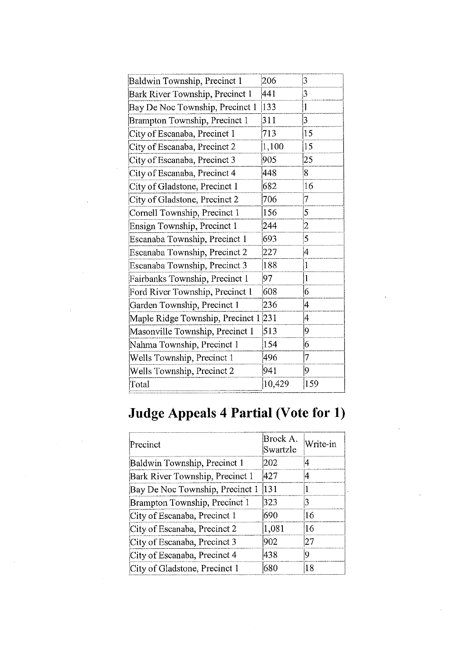| Baldwin Township, Precinct 1        | 206    | 3              |
|-------------------------------------|--------|----------------|
| Bark River Township, Precinct 1     | 441    | 3              |
| Bay De Noc Township, Precinct 1     | 133    | $\mathbf 1$    |
| Brampton Township, Precinct 1       | 311    | $\overline{3}$ |
| City of Escanaba, Precinct 1        | 713    | 15             |
| City of Escanaba, Precinct 2        | 1,100  | 15             |
| City of Escanaba, Precinct 3        | 905    | 25             |
| City of Escanaba, Precinct 4        | 448    | 8              |
| City of Gladstone, Precinct 1       | 682    | 16             |
| City of Gladstone, Precinct 2       | 706    | 7              |
| Cornell Township, Precinct 1        | 156    | 5              |
| Ensign Township, Precinct 1         | 244    | 2              |
| Escanaba Township, Precinct 1       | 693    | 5              |
| Escanaba Township, Precinct 2       | 227    | 4              |
| Escanaba Township, Precinct 3       | 188    | 1              |
| Fairbanks Township, Precinct 1      | 97     | $\mathbf{1}$   |
| Ford River Township, Precinct 1     | 608    | 6              |
| Garden Township, Precinct 1         | 236    | 4              |
| Maple Ridge Township, Precinct 1231 |        | 4              |
| Masonville Township, Precinct 1     | 513    | 9              |
| Nahma Township, Precinct 1          | 154    | 6              |
| Wells Township, Precinct 1          | 496    | 7              |
| Wells Township, Precinct 2          | 941    | 9              |
| Total                               | 10,429 | 159            |
|                                     |        |                |

## Judge Appeals 4 Partial (Vote for 1)

| Precinct                        | Brock A.<br>Swartzle | Write-in |
|---------------------------------|----------------------|----------|
| Baldwin Township, Precinct 1    | 202                  | i4       |
| Bark River Township, Precinct 1 | 1427                 |          |
| Bay De Noc Township, Precinct 1 | 131                  |          |
| Brampton Township, Precinct 1   | 323                  | 13       |
| City of Escanaba, Precinct 1    | 690                  | 16       |
| City of Escanaba, Precinct 2    | 1,081                | 16       |
| City of Escanaba, Precinct 3    | 902                  | 127      |
| City of Escanaba, Precinct 4    | 438                  | u        |
| City of Gladstone, Precinct 1   | 680                  | 18       |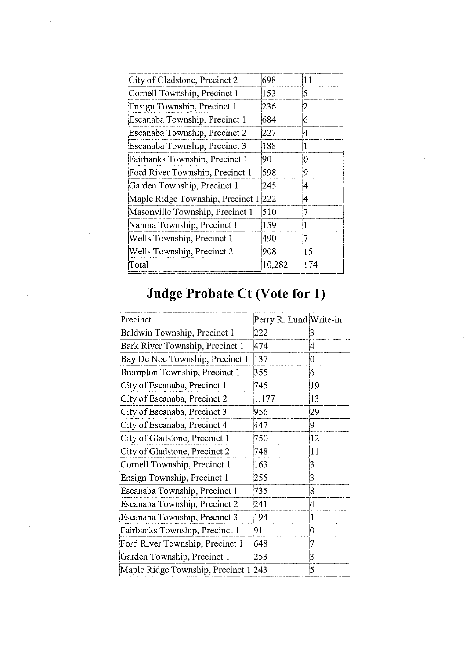| City of Gladstone, Precinct 2    | 698    | 11  |
|----------------------------------|--------|-----|
| Cornell Township, Precinct 1     | 153    | 5.  |
| Ensign Township, Precinct 1      | 236    | 2   |
| Escanaba Township, Precinct 1    | 684    | 6   |
| Escanaba Township, Precinct 2    | 227    | 4   |
| Escanaba Township, Precinct 3    | 188    |     |
| Fairbanks Township, Precinct 1   | 90     | 10  |
| Ford River Township, Precinct 1  | 598    | 9   |
| Garden Township, Precinct 1      | 245    | 4   |
| Maple Ridge Township, Precinct 1 | 222    | 4   |
| Masonville Township, Precinct 1  | 510    | 7   |
| Nahma Township, Precinct 1       | 159    |     |
| Wells Township, Precinct 1       | 490    | 7   |
| Wells Township, Precinct 2       | 908    | 15  |
| Total                            | 10,282 | 174 |
|                                  |        |     |

## **Judge Probate Ct (Vote for 1)**

| Precinct                         | Perry R. Lund Write-in |    |
|----------------------------------|------------------------|----|
| Baldwin Township, Precinct 1     | 222                    | 3  |
| Bark River Township, Precinct 1  | 474                    | 4  |
| Bay De Noc Township, Precinct 1  | 137                    | 0  |
| Brampton Township, Precinct 1    | 355                    | 6  |
| City of Escanaba, Precinct 1     | 745                    | 19 |
| City of Escanaba, Precinct 2     | 1,177                  | 13 |
| City of Escanaba, Precinct 3     | 956                    | 29 |
| City of Escanaba, Precinct 4     | 447                    | 9  |
| City of Gladstone, Precinct 1    | 750                    | 12 |
| City of Gladstone, Precinct 2    | 748                    | 11 |
| Cornell Township, Precinct 1     | 163                    | 3  |
| Ensign Township, Precinct 1      | 255                    | 3  |
| Escanaba Township, Precinct 1    | 735                    | 8  |
| Escanaba Township, Precinct 2    | 241                    | 4  |
| Escanaba Township, Precinct 3    | 194                    | 1  |
| Fairbanks Township, Precinct 1   | 91                     | 0  |
| Ford River Township, Precinct 1  | 648                    | 7  |
| Garden Township, Precinct 1      | 253                    | 3  |
| Maple Ridge Township, Precinct 1 | 243                    | 5  |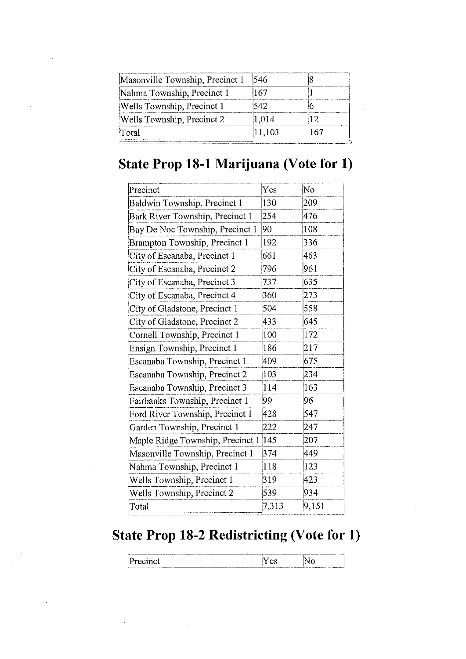| Masonville Township, Precinct 1 | 546    |  |
|---------------------------------|--------|--|
| Nahma Township, Precinct 1      |        |  |
| Wells Township, Precinct 1      | .42.   |  |
| Wells Township, Precinct 2      | 1.014  |  |
| Total                           | 11,103 |  |

#### **State Prop 18-1 Marijuana (Vote for 1)**

| Precinct                         | Yes           | No    |
|----------------------------------|---------------|-------|
|                                  | 130           | 209   |
| Baldwin Township, Precinct 1     |               |       |
| Bark River Township, Precinct 1  | 254           | 476   |
| Bay De Noc Township, Precinct 1  | 90            | 108   |
| Brampton Township, Precinct 1    | 192           | 336   |
| City of Escanaba, Precinct 1     | 661           | 463   |
| City of Escanaba, Precinct 2     | 796           | 961   |
| City of Escanaba, Precinct 3     | 737           | 635   |
| City of Escanaba, Precinct 4     | 360           | 273   |
| City of Gladstone, Precinct 1    | 504           | 558   |
| City of Gladstone, Precinct 2    | 433           | 645   |
| Cornell Township, Precinct 1     | 100           | 172   |
| Ensign Township, Precinct 1      | 186           | 217   |
| Escanaba Township, Precinct 1    | 409           | 675   |
| Escanaba Township, Precinct 2    | 103           | 234   |
| Escanaba Township, Precinct 3    | 114           | 163   |
| Fairbanks Township, Precinct 1   | 99            | 96    |
| Ford River Township, Precinct 1  | 428           | 547   |
| Garden Township, Precinct 1      | 222           | 247   |
| Maple Ridge Township, Precinct 1 | $ 145\rangle$ | 207   |
| Masonville Township, Precinct 1  | 374           | 449   |
| Nahma Township, Precinct 1       | 118           | 123   |
| Wells Township, Precinct 1       | 319           | 423   |
| Wells Township, Precinct 2       | 539           | 934   |
| Total                            | 7,313         | 9,151 |

#### **State Prop 18-2 Redistricting (Vote for 1)**

| $-40.00$ and $-40.00$<br>ŀ٣<br>$\sim$ met<br>I٢ | --- | _____ | and and a small of as a damabaked.<br>production of the factor of the committee and construction of the product of the committee of the committee of |
|-------------------------------------------------|-----|-------|------------------------------------------------------------------------------------------------------------------------------------------------------|
| -------                                         |     |       |                                                                                                                                                      |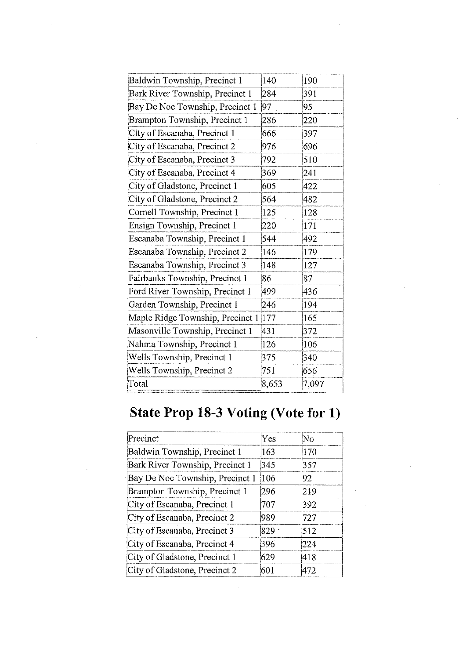| Baldwin Township, Precinct 1     | 140   | 190   |
|----------------------------------|-------|-------|
| Bark River Township, Precinct 1  | 284   | 391   |
| Bay De Noc Township, Precinct 1  | 97    | 95    |
| Brampton Township, Precinct 1    | 286   | 220   |
| City of Escanaba, Precinct 1     | 666   | 397   |
| City of Escanaba, Precinct 2     | 976   | 696   |
| City of Escanaba, Precinct 3     | 792   | 510   |
| City of Escanaba, Precinct 4     | 369   | 241   |
| City of Gladstone, Precinct 1    | 605   | 422   |
| City of Gladstone, Precinct 2    | 564   | 482   |
| Cornell Township, Precinct 1     | 125   | 128   |
| Ensign Township, Precinct 1      | 220   | 171   |
| Escanaba Township, Precinct 1    | 544   | 492   |
| Escanaba Township, Precinct 2    | 146   | 179   |
| Escanaba Township, Precinct 3    | 148   | 127   |
| Fairbanks Township, Precinct 1   | 86    | 87    |
| Ford River Township, Precinct 1  | 499   | 436   |
| Garden Township, Precinct 1      | 246   | 194   |
| Maple Ridge Township, Precinct 1 | 177   | 165   |
| Masonville Township, Precinct 1  | 431   | 372   |
| Nahma Township, Precinct 1       | 126   | 106   |
| Wells Township, Precinct 1       | 375   | 340   |
| Wells Township, Precinct 2       | 751   | 656   |
| Total                            | 8,653 | 7,097 |

## **State Prop 18-3 Voting (Vote for 1)**

| Precinct                        | Yes     | No  |
|---------------------------------|---------|-----|
| Baldwin Township, Precinct 1    | 163     | 170 |
| Bark River Township, Precinct 1 | 345     | 357 |
| Bay De Noc Township, Precinct 1 | 106     | 92  |
| Brampton Township, Precinct 1   | 296     | 219 |
| City of Escanaba, Precinct 1    | 707     | 392 |
| City of Escanaba, Precinct 2    | 989     | 727 |
| City of Escanaba, Precinct 3    | $829 -$ | 512 |
| City of Escanaba, Precinct 4    | 396     | 224 |
| City of Gladstone, Precinct 1   | 629     | 418 |
| City of Gladstone, Precinct 2   | 601     | 472 |